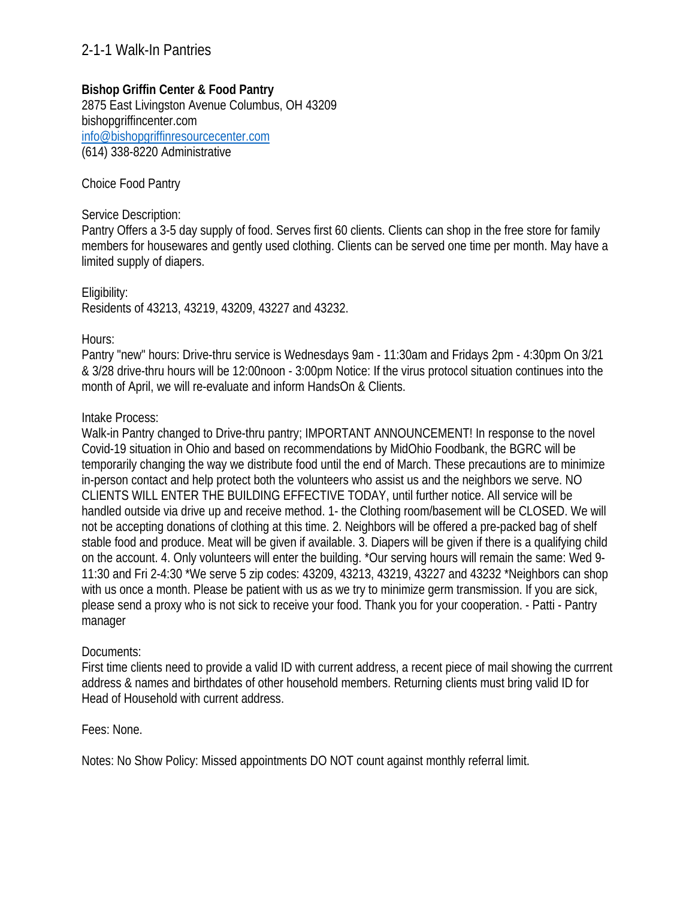## **Bishop Griffin Center & Food Pantry**

2875 East Livingston Avenue Columbus, OH 43209 bishopgriffincenter.com info@bishopgriffinresourcecenter.com (614) 338-8220 Administrative

### Choice Food Pantry

#### Service Description:

Pantry Offers a 3-5 day supply of food. Serves first 60 clients. Clients can shop in the free store for family members for housewares and gently used clothing. Clients can be served one time per month. May have a limited supply of diapers.

Eligibility: Residents of 43213, 43219, 43209, 43227 and 43232.

### Hours:

Pantry "new" hours: Drive-thru service is Wednesdays 9am - 11:30am and Fridays 2pm - 4:30pm On 3/21 & 3/28 drive-thru hours will be 12:00noon - 3:00pm Notice: If the virus protocol situation continues into the month of April, we will re-evaluate and inform HandsOn & Clients.

### Intake Process:

Walk-in Pantry changed to Drive-thru pantry; IMPORTANT ANNOUNCEMENT! In response to the novel Covid-19 situation in Ohio and based on recommendations by MidOhio Foodbank, the BGRC will be temporarily changing the way we distribute food until the end of March. These precautions are to minimize in-person contact and help protect both the volunteers who assist us and the neighbors we serve. NO CLIENTS WILL ENTER THE BUILDING EFFECTIVE TODAY, until further notice. All service will be handled outside via drive up and receive method. 1- the Clothing room/basement will be CLOSED. We will not be accepting donations of clothing at this time. 2. Neighbors will be offered a pre-packed bag of shelf stable food and produce. Meat will be given if available. 3. Diapers will be given if there is a qualifying child on the account. 4. Only volunteers will enter the building. \*Our serving hours will remain the same: Wed 9- 11:30 and Fri 2-4:30 \*We serve 5 zip codes: 43209, 43213, 43219, 43227 and 43232 \*Neighbors can shop with us once a month. Please be patient with us as we try to minimize germ transmission. If you are sick, please send a proxy who is not sick to receive your food. Thank you for your cooperation. - Patti - Pantry manager

### Documents:

First time clients need to provide a valid ID with current address, a recent piece of mail showing the currrent address & names and birthdates of other household members. Returning clients must bring valid ID for Head of Household with current address.

### Fees: None.

Notes: No Show Policy: Missed appointments DO NOT count against monthly referral limit.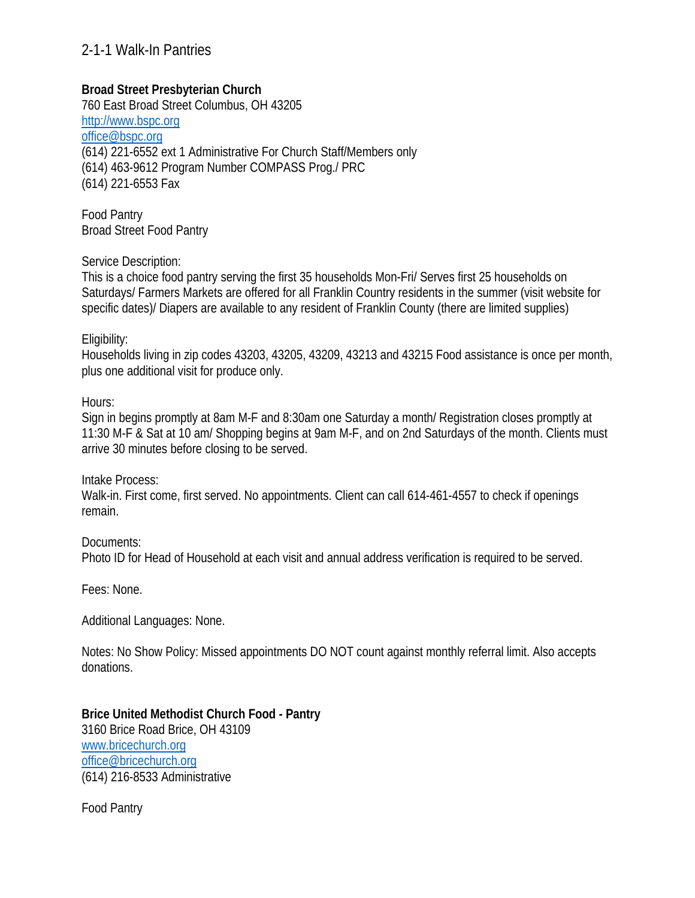## **Broad Street Presbyterian Church**

760 East Broad Street Columbus, OH 43205 http://www.bspc.org office@bspc.org (614) 221-6552 ext 1 Administrative For Church Staff/Members only (614) 463-9612 Program Number COMPASS Prog./ PRC (614) 221-6553 Fax

Food Pantry Broad Street Food Pantry

Service Description:

This is a choice food pantry serving the first 35 households Mon-Fri/ Serves first 25 households on Saturdays/ Farmers Markets are offered for all Franklin Country residents in the summer (visit website for specific dates)/ Diapers are available to any resident of Franklin County (there are limited supplies)

#### Eligibility:

Households living in zip codes 43203, 43205, 43209, 43213 and 43215 Food assistance is once per month, plus one additional visit for produce only.

Hours:

Sign in begins promptly at 8am M-F and 8:30am one Saturday a month/ Registration closes promptly at 11:30 M-F & Sat at 10 am/ Shopping begins at 9am M-F, and on 2nd Saturdays of the month. Clients must arrive 30 minutes before closing to be served.

Intake Process:

Walk-in. First come, first served. No appointments. Client can call 614-461-4557 to check if openings remain.

Documents:

Photo ID for Head of Household at each visit and annual address verification is required to be served.

Fees: None.

Additional Languages: None.

Notes: No Show Policy: Missed appointments DO NOT count against monthly referral limit. Also accepts donations.

**Brice United Methodist Church Food - Pantry**  3160 Brice Road Brice, OH 43109 www.bricechurch.org office@bricechurch.org (614) 216-8533 Administrative

Food Pantry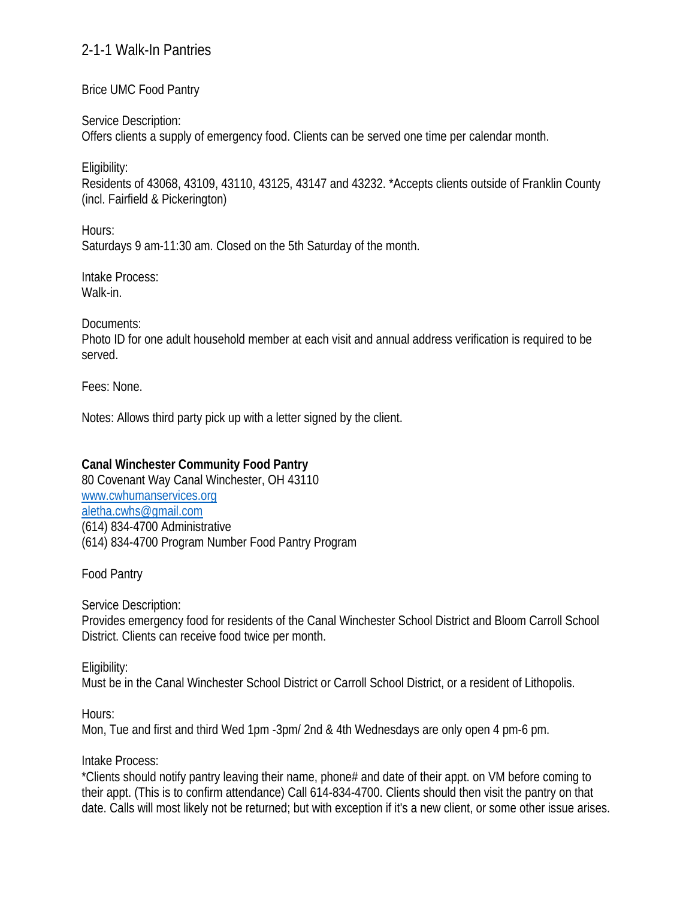## Brice UMC Food Pantry

Service Description:

Offers clients a supply of emergency food. Clients can be served one time per calendar month.

Eligibility:

Residents of 43068, 43109, 43110, 43125, 43147 and 43232. \*Accepts clients outside of Franklin County (incl. Fairfield & Pickerington)

Hours:

Saturdays 9 am-11:30 am. Closed on the 5th Saturday of the month.

Intake Process: Walk-in.

Documents:

Photo ID for one adult household member at each visit and annual address verification is required to be served.

Fees: None.

Notes: Allows third party pick up with a letter signed by the client.

# **Canal Winchester Community Food Pantry**

80 Covenant Way Canal Winchester, OH 43110 www.cwhumanservices.org aletha.cwhs@gmail.com (614) 834-4700 Administrative (614) 834-4700 Program Number Food Pantry Program

Food Pantry

Service Description:

Provides emergency food for residents of the Canal Winchester School District and Bloom Carroll School District. Clients can receive food twice per month.

Eligibility:

Must be in the Canal Winchester School District or Carroll School District, or a resident of Lithopolis.

Hours:

Mon, Tue and first and third Wed 1pm -3pm/ 2nd & 4th Wednesdays are only open 4 pm-6 pm.

Intake Process:

\*Clients should notify pantry leaving their name, phone# and date of their appt. on VM before coming to their appt. (This is to confirm attendance) Call 614-834-4700. Clients should then visit the pantry on that date. Calls will most likely not be returned; but with exception if it's a new client, or some other issue arises.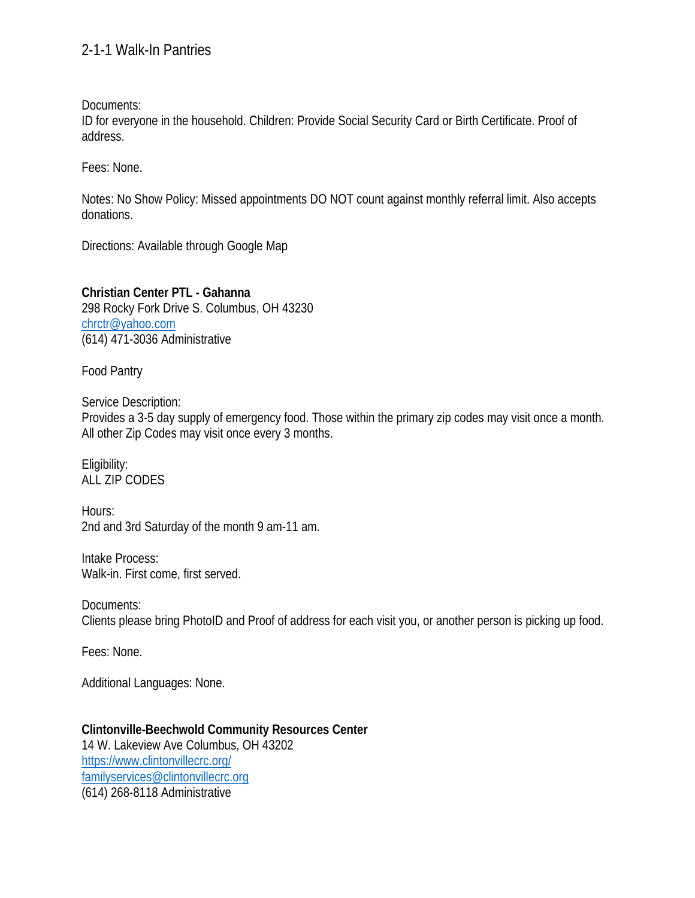Documents:

ID for everyone in the household. Children: Provide Social Security Card or Birth Certificate. Proof of address.

Fees: None.

Notes: No Show Policy: Missed appointments DO NOT count against monthly referral limit. Also accepts donations.

Directions: Available through Google Map

**Christian Center PTL - Gahanna**  298 Rocky Fork Drive S. Columbus, OH 43230 chrctr@yahoo.com (614) 471-3036 Administrative

Food Pantry

Service Description: Provides a 3-5 day supply of emergency food. Those within the primary zip codes may visit once a month. All other Zip Codes may visit once every 3 months.

Eligibility: ALL ZIP CODES

Hours: 2nd and 3rd Saturday of the month 9 am-11 am.

Intake Process: Walk-in. First come, first served.

Documents: Clients please bring PhotoID and Proof of address for each visit you, or another person is picking up food.

Fees: None.

Additional Languages: None.

**Clintonville-Beechwold Community Resources Center**  14 W. Lakeview Ave Columbus, OH 43202 https://www.clintonvillecrc.org/ familyservices@clintonvillecrc.org (614) 268-8118 Administrative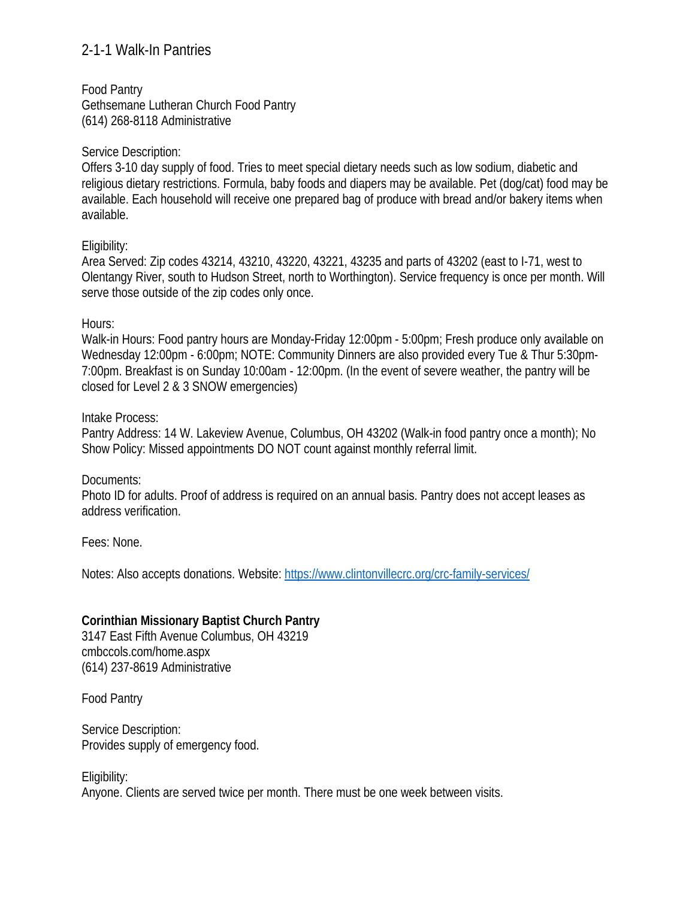Food Pantry Gethsemane Lutheran Church Food Pantry (614) 268-8118 Administrative

### Service Description:

Offers 3-10 day supply of food. Tries to meet special dietary needs such as low sodium, diabetic and religious dietary restrictions. Formula, baby foods and diapers may be available. Pet (dog/cat) food may be available. Each household will receive one prepared bag of produce with bread and/or bakery items when available.

## Eligibility:

Area Served: Zip codes 43214, 43210, 43220, 43221, 43235 and parts of 43202 (east to I-71, west to Olentangy River, south to Hudson Street, north to Worthington). Service frequency is once per month. Will serve those outside of the zip codes only once.

## Hours:

Walk-in Hours: Food pantry hours are Monday-Friday 12:00pm - 5:00pm; Fresh produce only available on Wednesday 12:00pm - 6:00pm; NOTE: Community Dinners are also provided every Tue & Thur 5:30pm-7:00pm. Breakfast is on Sunday 10:00am - 12:00pm. (In the event of severe weather, the pantry will be closed for Level 2 & 3 SNOW emergencies)

### Intake Process:

Pantry Address: 14 W. Lakeview Avenue, Columbus, OH 43202 (Walk-in food pantry once a month); No Show Policy: Missed appointments DO NOT count against monthly referral limit.

### Documents:

Photo ID for adults. Proof of address is required on an annual basis. Pantry does not accept leases as address verification.

Fees: None.

Notes: Also accepts donations. Website: https://www.clintonvillecrc.org/crc-family-services/

# **Corinthian Missionary Baptist Church Pantry**

3147 East Fifth Avenue Columbus, OH 43219 cmbccols.com/home.aspx (614) 237-8619 Administrative

Food Pantry

Service Description: Provides supply of emergency food.

Eligibility: Anyone. Clients are served twice per month. There must be one week between visits.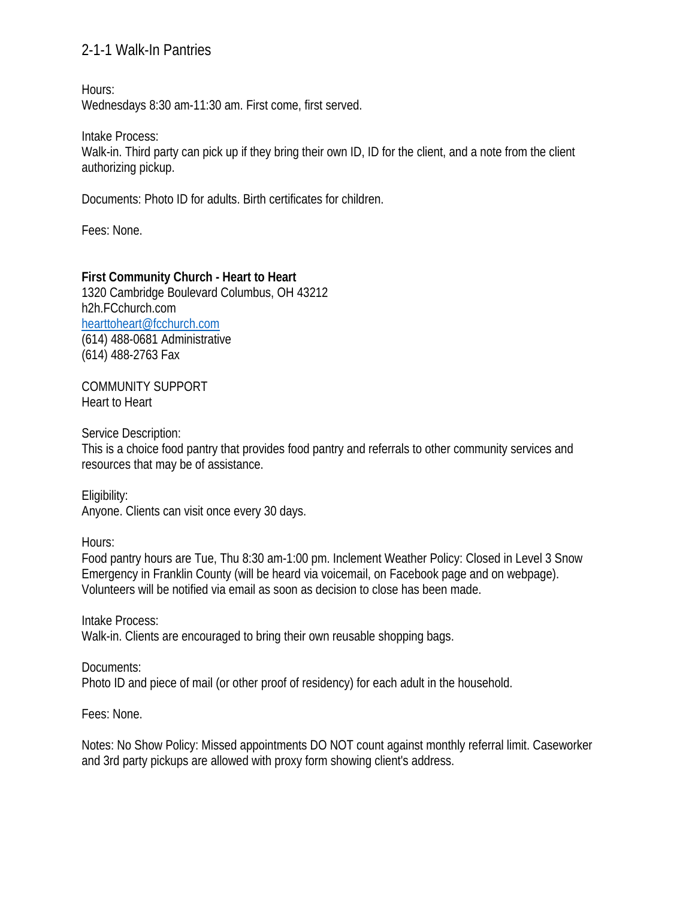Hours:

Wednesdays 8:30 am-11:30 am. First come, first served.

Intake Process:

Walk-in. Third party can pick up if they bring their own ID, ID for the client, and a note from the client authorizing pickup.

Documents: Photo ID for adults. Birth certificates for children.

Fees: None.

## **First Community Church - Heart to Heart**

1320 Cambridge Boulevard Columbus, OH 43212 h2h.FCchurch.com hearttoheart@fcchurch.com (614) 488-0681 Administrative (614) 488-2763 Fax

COMMUNITY SUPPORT Heart to Heart

Service Description:

This is a choice food pantry that provides food pantry and referrals to other community services and resources that may be of assistance.

Eligibility: Anyone. Clients can visit once every 30 days.

Hours:

Food pantry hours are Tue, Thu 8:30 am-1:00 pm. Inclement Weather Policy: Closed in Level 3 Snow Emergency in Franklin County (will be heard via voicemail, on Facebook page and on webpage). Volunteers will be notified via email as soon as decision to close has been made.

Intake Process: Walk-in. Clients are encouraged to bring their own reusable shopping bags.

Documents: Photo ID and piece of mail (or other proof of residency) for each adult in the household.

Fees: None.

Notes: No Show Policy: Missed appointments DO NOT count against monthly referral limit. Caseworker and 3rd party pickups are allowed with proxy form showing client's address.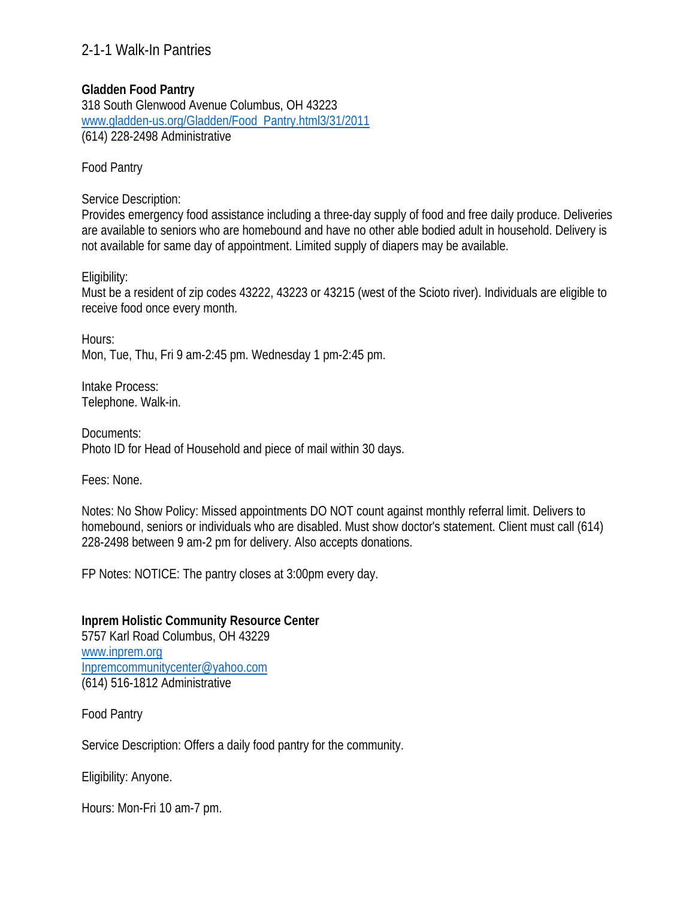## **Gladden Food Pantry**

318 South Glenwood Avenue Columbus, OH 43223 www.gladden-us.org/Gladden/Food\_Pantry.html3/31/2011 (614) 228-2498 Administrative

Food Pantry

Service Description:

Provides emergency food assistance including a three-day supply of food and free daily produce. Deliveries are available to seniors who are homebound and have no other able bodied adult in household. Delivery is not available for same day of appointment. Limited supply of diapers may be available.

Eligibility:

Must be a resident of zip codes 43222, 43223 or 43215 (west of the Scioto river). Individuals are eligible to receive food once every month.

Hours: Mon, Tue, Thu, Fri 9 am-2:45 pm. Wednesday 1 pm-2:45 pm.

Intake Process: Telephone. Walk-in.

Documents: Photo ID for Head of Household and piece of mail within 30 days.

Fees: None.

Notes: No Show Policy: Missed appointments DO NOT count against monthly referral limit. Delivers to homebound, seniors or individuals who are disabled. Must show doctor's statement. Client must call (614) 228-2498 between 9 am-2 pm for delivery. Also accepts donations.

FP Notes: NOTICE: The pantry closes at 3:00pm every day.

**Inprem Holistic Community Resource Center**  5757 Karl Road Columbus, OH 43229 www.inprem.org Inpremcommunitycenter@yahoo.com (614) 516-1812 Administrative

Food Pantry

Service Description: Offers a daily food pantry for the community.

Eligibility: Anyone.

Hours: Mon-Fri 10 am-7 pm.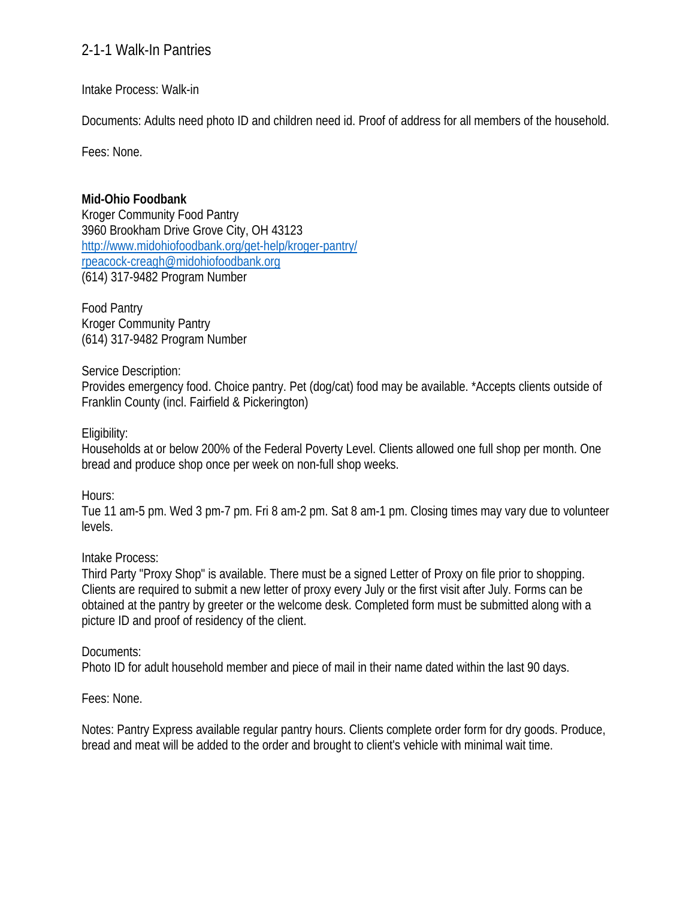Intake Process: Walk-in

Documents: Adults need photo ID and children need id. Proof of address for all members of the household.

Fees: None.

## **Mid-Ohio Foodbank**

Kroger Community Food Pantry 3960 Brookham Drive Grove City, OH 43123 http://www.midohiofoodbank.org/get-help/kroger-pantry/ rpeacock-creagh@midohiofoodbank.org (614) 317-9482 Program Number

Food Pantry Kroger Community Pantry (614) 317-9482 Program Number

## Service Description:

Provides emergency food. Choice pantry. Pet (dog/cat) food may be available. \*Accepts clients outside of Franklin County (incl. Fairfield & Pickerington)

## Eligibility:

Households at or below 200% of the Federal Poverty Level. Clients allowed one full shop per month. One bread and produce shop once per week on non-full shop weeks.

Hours:

Tue 11 am-5 pm. Wed 3 pm-7 pm. Fri 8 am-2 pm. Sat 8 am-1 pm. Closing times may vary due to volunteer levels.

## Intake Process:

Third Party "Proxy Shop" is available. There must be a signed Letter of Proxy on file prior to shopping. Clients are required to submit a new letter of proxy every July or the first visit after July. Forms can be obtained at the pantry by greeter or the welcome desk. Completed form must be submitted along with a picture ID and proof of residency of the client.

## Documents:

Photo ID for adult household member and piece of mail in their name dated within the last 90 days.

Fees: None.

Notes: Pantry Express available regular pantry hours. Clients complete order form for dry goods. Produce, bread and meat will be added to the order and brought to client's vehicle with minimal wait time.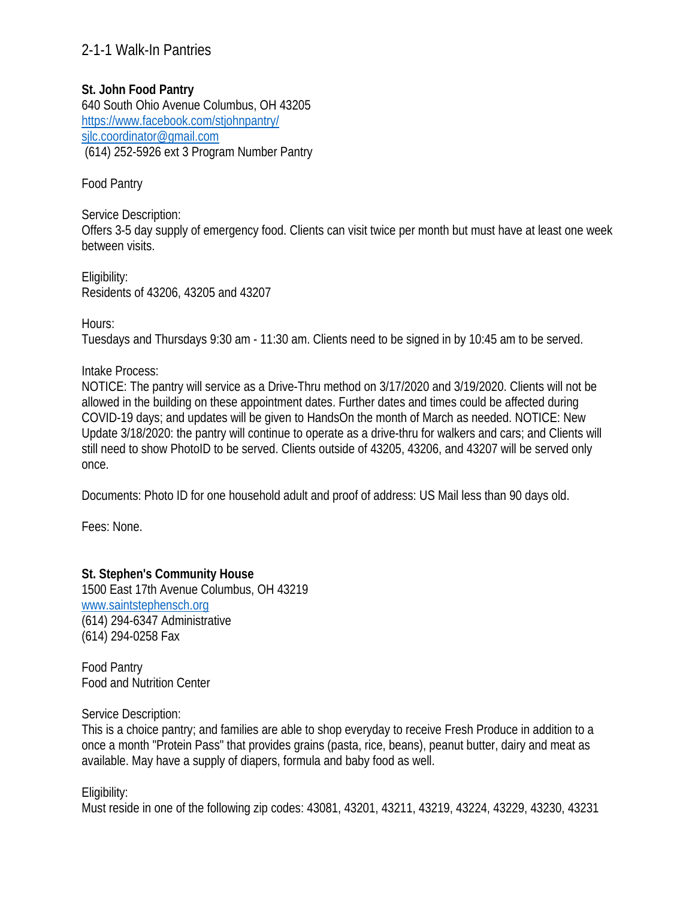## **St. John Food Pantry**

640 South Ohio Avenue Columbus, OH 43205 https://www.facebook.com/stjohnpantry/ sjlc.coordinator@gmail.com (614) 252-5926 ext 3 Program Number Pantry

Food Pantry

Service Description: Offers 3-5 day supply of emergency food. Clients can visit twice per month but must have at least one week between visits.

Eligibility: Residents of 43206, 43205 and 43207

Hours:

Tuesdays and Thursdays 9:30 am - 11:30 am. Clients need to be signed in by 10:45 am to be served.

Intake Process:

NOTICE: The pantry will service as a Drive-Thru method on 3/17/2020 and 3/19/2020. Clients will not be allowed in the building on these appointment dates. Further dates and times could be affected during COVID-19 days; and updates will be given to HandsOn the month of March as needed. NOTICE: New Update 3/18/2020: the pantry will continue to operate as a drive-thru for walkers and cars; and Clients will still need to show PhotoID to be served. Clients outside of 43205, 43206, and 43207 will be served only once.

Documents: Photo ID for one household adult and proof of address: US Mail less than 90 days old.

Fees: None.

### **St. Stephen's Community House**

1500 East 17th Avenue Columbus, OH 43219 www.saintstephensch.org (614) 294-6347 Administrative (614) 294-0258 Fax

Food Pantry Food and Nutrition Center

Service Description:

This is a choice pantry; and families are able to shop everyday to receive Fresh Produce in addition to a once a month "Protein Pass" that provides grains (pasta, rice, beans), peanut butter, dairy and meat as available. May have a supply of diapers, formula and baby food as well.

Eligibility:

Must reside in one of the following zip codes: 43081, 43201, 43211, 43219, 43224, 43229, 43230, 43231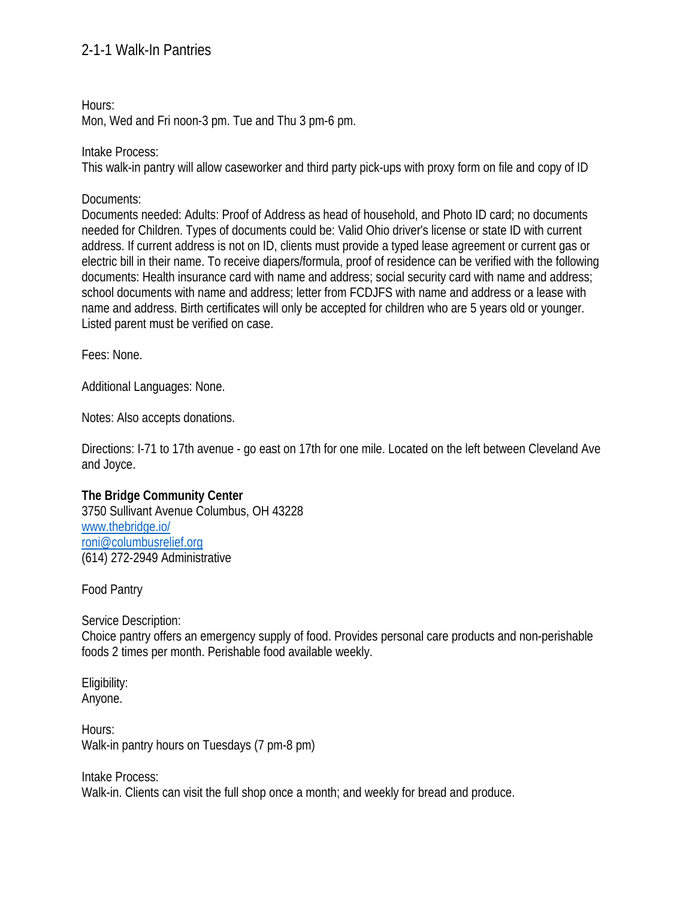Hours:

Mon, Wed and Fri noon-3 pm. Tue and Thu 3 pm-6 pm.

Intake Process:

This walk-in pantry will allow caseworker and third party pick-ups with proxy form on file and copy of ID

Documents:

Documents needed: Adults: Proof of Address as head of household, and Photo ID card; no documents needed for Children. Types of documents could be: Valid Ohio driver's license or state ID with current address. If current address is not on ID, clients must provide a typed lease agreement or current gas or electric bill in their name. To receive diapers/formula, proof of residence can be verified with the following documents: Health insurance card with name and address; social security card with name and address; school documents with name and address; letter from FCDJFS with name and address or a lease with name and address. Birth certificates will only be accepted for children who are 5 years old or younger. Listed parent must be verified on case.

Fees: None.

Additional Languages: None.

Notes: Also accepts donations.

Directions: I-71 to 17th avenue - go east on 17th for one mile. Located on the left between Cleveland Ave and Joyce.

### **The Bridge Community Center**

3750 Sullivant Avenue Columbus, OH 43228 www.thebridge.io/ roni@columbusrelief.org (614) 272-2949 Administrative

Food Pantry

Service Description: Choice pantry offers an emergency supply of food. Provides personal care products and non-perishable foods 2 times per month. Perishable food available weekly.

Eligibility: Anyone.

Hours: Walk-in pantry hours on Tuesdays (7 pm-8 pm)

Intake Process: Walk-in. Clients can visit the full shop once a month; and weekly for bread and produce.